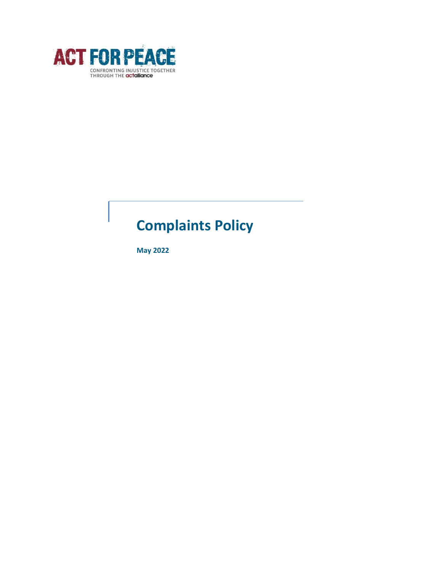

# **Complaints Policy**

**May 2022**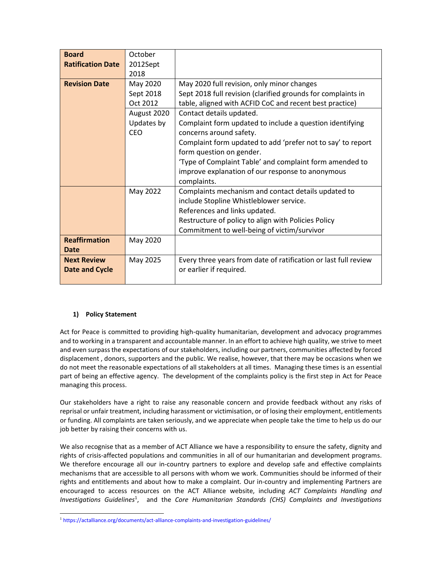| <b>Board</b>             | October     |                                                                 |  |
|--------------------------|-------------|-----------------------------------------------------------------|--|
| <b>Ratification Date</b> | 2012Sept    |                                                                 |  |
|                          | 2018        |                                                                 |  |
| <b>Revision Date</b>     | May 2020    | May 2020 full revision, only minor changes                      |  |
|                          | Sept 2018   | Sept 2018 full revision (clarified grounds for complaints in    |  |
|                          | Oct 2012    | table, aligned with ACFID CoC and recent best practice)         |  |
|                          | August 2020 | Contact details updated.                                        |  |
|                          | Updates by  | Complaint form updated to include a question identifying        |  |
|                          | CEO         | concerns around safety.                                         |  |
|                          |             | Complaint form updated to add 'prefer not to say' to report     |  |
|                          |             | form question on gender.                                        |  |
|                          |             | 'Type of Complaint Table' and complaint form amended to         |  |
|                          |             | improve explanation of our response to anonymous                |  |
|                          |             | complaints.                                                     |  |
|                          | May 2022    | Complaints mechanism and contact details updated to             |  |
|                          |             | include Stopline Whistleblower service.                         |  |
|                          |             | References and links updated.                                   |  |
|                          |             | Restructure of policy to align with Policies Policy             |  |
|                          |             | Commitment to well-being of victim/survivor                     |  |
| <b>Reaffirmation</b>     | May 2020    |                                                                 |  |
| Date                     |             |                                                                 |  |
| <b>Next Review</b>       | May 2025    | Every three years from date of ratification or last full review |  |
| <b>Date and Cycle</b>    |             | or earlier if required.                                         |  |
|                          |             |                                                                 |  |

## **1) Policy Statement**

Act for Peace is committed to providing high-quality humanitarian, development and advocacy programmes and to working in a transparent and accountable manner. In an effort to achieve high quality, we strive to meet and even surpass the expectations of our stakeholders, including our partners, communities affected by forced displacement , donors, supporters and the public. We realise, however, that there may be occasions when we do not meet the reasonable expectations of all stakeholders at all times. Managing these times is an essential part of being an effective agency. The development of the complaints policy is the first step in Act for Peace managing this process.

Our stakeholders have a right to raise any reasonable concern and provide feedback without any risks of reprisal or unfair treatment, including harassment or victimisation, or of losing their employment, entitlements or funding. All complaints are taken seriously, and we appreciate when people take the time to help us do our job better by raising their concerns with us.

We also recognise that as a member of ACT Alliance we have a responsibility to ensure the safety, dignity and rights of crisis-affected populations and communities in all of our humanitarian and development programs. We therefore encourage all our in-country partners to explore and develop safe and effective complaints mechanisms that are accessible to all persons with whom we work. Communities should be informed of their rights and entitlements and about how to make a complaint. Our in-country and implementing Partners are encouraged to access resources on the ACT Alliance website, including *ACT Complaints Handling and Investigations Guidelines*<sup>1</sup> , and the *Core Humanitarian Standards (CHS) Complaints and Investigations* 

<sup>1</sup> https://actalliance.org/documents/act-alliance-complaints-and-investigation-guidelines/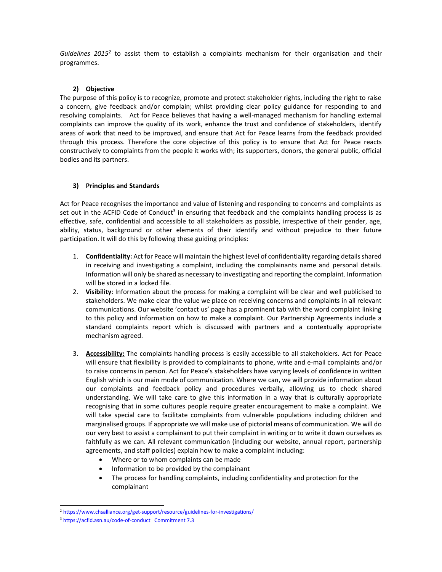Guidelines 2015<sup>2</sup> to assist them to establish a complaints mechanism for their organisation and their programmes.

## **2) Objective**

The purpose of this policy is to recognize, promote and protect stakeholder rights, including the right to raise a concern, give feedback and/or complain; whilst providing clear policy guidance for responding to and resolving complaints. Act for Peace believes that having a well-managed mechanism for handling external complaints can improve the quality of its work, enhance the trust and confidence of stakeholders, identify areas of work that need to be improved, and ensure that Act for Peace learns from the feedback provided through this process. Therefore the core objective of this policy is to ensure that Act for Peace reacts constructively to complaints from the people it works with; its supporters, donors, the general public, official bodies and its partners.

## **3) Principles and Standards**

Act for Peace recognises the importance and value of listening and responding to concerns and complaints as set out in the ACFID Code of Conduct<sup>3</sup> in ensuring that feedback and the complaints handling process is as effective, safe, confidential and accessible to all stakeholders as possible, irrespective of their gender, age, ability, status, background or other elements of their identify and without prejudice to their future participation. It will do this by following these guiding principles:

- 1. **Confidentiality:** Act for Peace will maintain the highest level of confidentiality regarding details shared in receiving and investigating a complaint, including the complainants name and personal details. Information will only be shared as necessary to investigating and reporting the complaint. Information will be stored in a locked file.
- 2. **Visibility**: Information about the process for making a complaint will be clear and well publicised to stakeholders. We make clear the value we place on receiving concerns and complaints in all relevant communications. Our website 'contact us' page has a prominent tab with the word complaint linking to this policy and information on how to make a complaint. Our Partnership Agreements include a standard complaints report which is discussed with partners and a contextually appropriate mechanism agreed.
- 3. **Accessibility:** The complaints handling process is easily accessible to all stakeholders. Act for Peace will ensure that flexibility is provided to complainants to phone, write and e-mail complaints and/or to raise concerns in person. Act for Peace's stakeholders have varying levels of confidence in written English which is our main mode of communication. Where we can, we will provide information about our complaints and feedback policy and procedures verbally, allowing us to check shared understanding. We will take care to give this information in a way that is culturally appropriate recognising that in some cultures people require greater encouragement to make a complaint. We will take special care to facilitate complaints from vulnerable populations including children and marginalised groups. If appropriate we will make use of pictorial means of communication. We will do our very best to assist a complainant to put their complaint in writing or to write it down ourselves as faithfully as we can. All relevant communication (including our website, annual report, partnership agreements, and staff policies) explain how to make a complaint including:
	- Where or to whom complaints can be made
	- Information to be provided by the complainant
	- The process for handling complaints, including confidentiality and protection for the complainant

<sup>&</sup>lt;sup>2</sup> <https://www.chsalliance.org/get-support/resource/guidelines-for-investigations/>

<sup>&</sup>lt;sup>3</sup> <https://acfid.asn.au/code-of-conduct>Commitment 7.3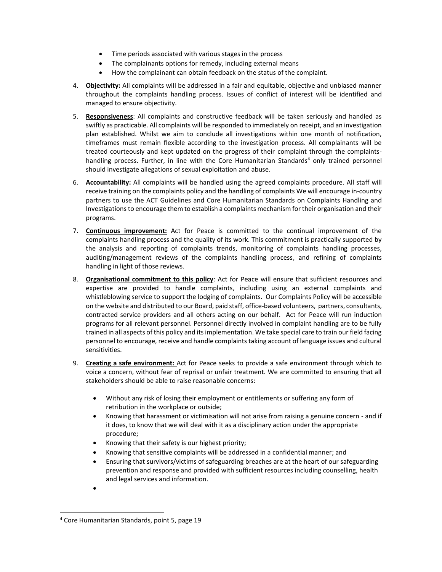- Time periods associated with various stages in the process
- The complainants options for remedy, including external means
- How the complainant can obtain feedback on the status of the complaint.
- 4. **Objectivity:** All complaints will be addressed in a fair and equitable, objective and unbiased manner throughout the complaints handling process. Issues of conflict of interest will be identified and managed to ensure objectivity.
- 5. **Responsiveness**: All complaints and constructive feedback will be taken seriously and handled as swiftly as practicable. All complaints will be responded to immediately on receipt, and an investigation plan established. Whilst we aim to conclude all investigations within one month of notification, timeframes must remain flexible according to the investigation process. All complainants will be treated courteously and kept updated on the progress of their complaint through the complaintshandling process. Further, in line with the Core Humanitarian Standards<sup>4</sup> only trained personnel should investigate allegations of sexual exploitation and abuse.
- 6. **Accountability:** All complaints will be handled using the agreed complaints procedure. All staff will receive training on the complaints policy and the handling of complaints We will encourage in-country partners to use the ACT Guidelines and Core Humanitarian Standards on Complaints Handling and Investigations to encourage them to establish a complaints mechanism for their organisation and their programs.
- 7. **Continuous improvement:** Act for Peace is committed to the continual improvement of the complaints handling process and the quality of its work. This commitment is practically supported by the analysis and reporting of complaints trends, monitoring of complaints handling processes, auditing/management reviews of the complaints handling process, and refining of complaints handling in light of those reviews.
- 8. **Organisational commitment to this policy**: Act for Peace will ensure that sufficient resources and expertise are provided to handle complaints, including using an external complaints and whistleblowing service to support the lodging of complaints. Our Complaints Policy will be accessible on the website and distributed to our Board, paid staff, office-based volunteers, partners, consultants, contracted service providers and all others acting on our behalf. Act for Peace will run induction programs for all relevant personnel. Personnel directly involved in complaint handling are to be fully trained in all aspects of this policy and its implementation. We take special care to train our field facing personnel to encourage, receive and handle complaints taking account of language issues and cultural sensitivities.
- 9. **Creating a safe environment:** Act for Peace seeks to provide a safe environment through which to voice a concern, without fear of reprisal or unfair treatment. We are committed to ensuring that all stakeholders should be able to raise reasonable concerns:
	- Without any risk of losing their employment or entitlements or suffering any form of retribution in the workplace or outside;
	- Knowing that harassment or victimisation will not arise from raising a genuine concern and if it does, to know that we will deal with it as a disciplinary action under the appropriate procedure;
	- Knowing that their safety is our highest priority;
	- Knowing that sensitive complaints will be addressed in a confidential manner; and
	- Ensuring that survivors/victims of safeguarding breaches are at the heart of our safeguarding prevention and response and provided with sufficient resources including counselling, health and legal services and information.
	- •

<sup>4</sup> Core Humanitarian Standards, point 5, page 19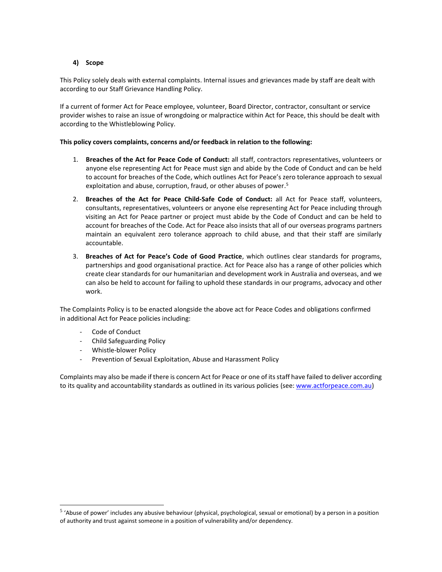## **4) Scope**

This Policy solely deals with external complaints. Internal issues and grievances made by staff are dealt with according to our Staff Grievance Handling Policy.

If a current of former Act for Peace employee, volunteer, Board Director, contractor, consultant or service provider wishes to raise an issue of wrongdoing or malpractice within Act for Peace, this should be dealt with according to the Whistleblowing Policy.

## **This policy covers complaints, concerns and/or feedback in relation to the following:**

- 1. **Breaches of the Act for Peace Code of Conduct:** all staff, contractors representatives, volunteers or anyone else representing Act for Peace must sign and abide by the Code of Conduct and can be held to account for breaches of the Code, which outlines Act for Peace's zero tolerance approach to sexual exploitation and abuse, corruption, fraud, or other abuses of power.<sup>5</sup>
- 2. **Breaches of the Act for Peace Child-Safe Code of Conduct:** all Act for Peace staff, volunteers, consultants, representatives, volunteers or anyone else representing Act for Peace including through visiting an Act for Peace partner or project must abide by the Code of Conduct and can be held to account for breaches of the Code. Act for Peace also insists that all of our overseas programs partners maintain an equivalent zero tolerance approach to child abuse, and that their staff are similarly accountable.
- 3. **Breaches of Act for Peace's Code of Good Practice**, which outlines clear standards for programs, partnerships and good organisational practice. Act for Peace also has a range of other policies which create clear standards for our humanitarian and development work in Australia and overseas, and we can also be held to account for failing to uphold these standards in our programs, advocacy and other work.

The Complaints Policy is to be enacted alongside the above act for Peace Codes and obligations confirmed in additional Act for Peace policies including:

- Code of Conduct
- Child Safeguarding Policy
- Whistle-blower Policy
- Prevention of Sexual Exploitation, Abuse and Harassment Policy

Complaints may also be made if there is concern Act for Peace or one of its staff have failed to deliver according to its quality and accountability standards as outlined in its various policies (see[: www.actforpeace.com.au\)](http://www.actforpeace.com.au/)

<sup>&</sup>lt;sup>5</sup> 'Abuse of power' includes any abusive behaviour (physical, psychological, sexual or emotional) by a person in a position of authority and trust against someone in a position of vulnerability and/or dependency.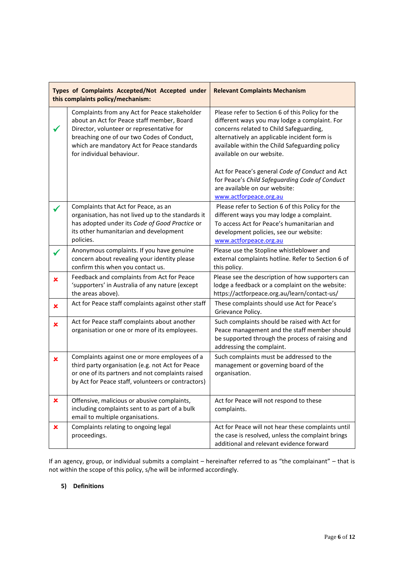| Types of Complaints Accepted/Not Accepted under<br>this complaints policy/mechanism: |                                                                                                                                                                                                                                                                    | <b>Relevant Complaints Mechanism</b>                                                                                                                                                                                                                                        |  |
|--------------------------------------------------------------------------------------|--------------------------------------------------------------------------------------------------------------------------------------------------------------------------------------------------------------------------------------------------------------------|-----------------------------------------------------------------------------------------------------------------------------------------------------------------------------------------------------------------------------------------------------------------------------|--|
|                                                                                      | Complaints from any Act for Peace stakeholder<br>about an Act for Peace staff member, Board<br>Director, volunteer or representative for<br>breaching one of our two Codes of Conduct,<br>which are mandatory Act for Peace standards<br>for individual behaviour. | Please refer to Section 6 of this Policy for the<br>different ways you may lodge a complaint. For<br>concerns related to Child Safeguarding,<br>alternatively an applicable incident form is<br>available within the Child Safeguarding policy<br>available on our website. |  |
|                                                                                      |                                                                                                                                                                                                                                                                    | Act for Peace's general Code of Conduct and Act<br>for Peace's Child Safeguarding Code of Conduct<br>are available on our website:<br>www.actforpeace.org.au                                                                                                                |  |
|                                                                                      | Complaints that Act for Peace, as an<br>organisation, has not lived up to the standards it<br>has adopted under its Code of Good Practice or<br>its other humanitarian and development<br>policies.                                                                | Please refer to Section 6 of this Policy for the<br>different ways you may lodge a complaint.<br>To access Act for Peace's humanitarian and<br>development policies, see our website:<br>www.actforpeace.org.au                                                             |  |
|                                                                                      | Anonymous complaints. If you have genuine<br>concern about revealing your identity please<br>confirm this when you contact us.                                                                                                                                     | Please use the Stopline whistleblower and<br>external complaints hotline. Refer to Section 6 of<br>this policy.                                                                                                                                                             |  |
| $\pmb{\times}$                                                                       | Feedback and complaints from Act for Peace<br>'supporters' in Australia of any nature (except<br>the areas above).                                                                                                                                                 | Please see the description of how supporters can<br>lodge a feedback or a complaint on the website:<br>https://actforpeace.org.au/learn/contact-us/                                                                                                                         |  |
| ×                                                                                    | Act for Peace staff complaints against other staff                                                                                                                                                                                                                 | These complaints should use Act for Peace's<br>Grievance Policy.                                                                                                                                                                                                            |  |
| ×                                                                                    | Act for Peace staff complaints about another<br>organisation or one or more of its employees.                                                                                                                                                                      | Such complaints should be raised with Act for<br>Peace management and the staff member should<br>be supported through the process of raising and<br>addressing the complaint.                                                                                               |  |
| $\pmb{\times}$                                                                       | Complaints against one or more employees of a<br>third party organisation (e.g. not Act for Peace<br>or one of its partners and not complaints raised<br>by Act for Peace staff, volunteers or contractors)                                                        | Such complaints must be addressed to the<br>management or governing board of the<br>organisation.                                                                                                                                                                           |  |
| ×                                                                                    | Offensive, malicious or abusive complaints,<br>including complaints sent to as part of a bulk<br>email to multiple organisations.                                                                                                                                  | Act for Peace will not respond to these<br>complaints.                                                                                                                                                                                                                      |  |
| $\pmb{\times}$                                                                       | Complaints relating to ongoing legal<br>proceedings.                                                                                                                                                                                                               | Act for Peace will not hear these complaints until<br>the case is resolved, unless the complaint brings<br>additional and relevant evidence forward                                                                                                                         |  |

If an agency, group, or individual submits a complaint – hereinafter referred to as "the complainant" – that is not within the scope of this policy, s/he will be informed accordingly.

# **5) Definitions**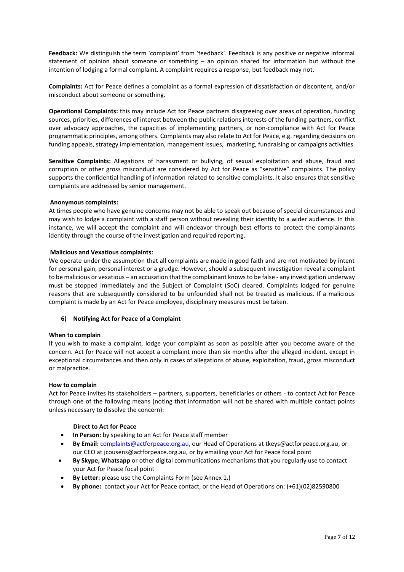**Feedback:** We distinguish the term 'complaint' from 'feedback'. Feedback is any positive or negative informal statement of opinion about someone or something – an opinion shared for information but without the intention of lodging a formal complaint. A complaint requires a response, but feedback may not.

**Complaints:** Act for Peace defines a complaint as a formal expression of dissatisfaction or discontent, and/or misconduct about someone or something.

**Operational Complaints:** this may include Act for Peace partners disagreeing over areas of operation, funding sources, priorities, differences of interest between the public relations interests of the funding partners, conflict over advocacy approaches, the capacities of implementing partners, or non-compliance with Act for Peace programmatic principles, among others. Complaints may also relate to Act for Peace, e.g. regarding decisions on funding appeals, strategy implementation, management issues, marketing, fundraising or campaigns activities.

**Sensitive Complaints:** Allegations of harassment or bullying, of sexual exploitation and abuse, fraud and corruption or other gross misconduct are considered by Act for Peace as "sensitive" complaints. The policy supports the confidential handling of information related to sensitive complaints. It also ensures that sensitive complaints are addressed by senior management.

## **Anonymous complaints:**

At times people who have genuine concerns may not be able to speak out because of special circumstances and may wish to lodge a complaint with a staff person without revealing their identity to a wider audience. In this instance, we will accept the complaint and will endeavor through best efforts to protect the complainants identity through the course of the investigation and required reporting.

## **Malicious and Vexatious complaints:**

We operate under the assumption that all complaints are made in good faith and are not motivated by intent for personal gain, personal interest or a grudge. However, should a subsequent investigation reveal a complaint to be malicious or vexatious – an accusation that the complainant knows to be false - any investigation underway must be stopped immediately and the Subject of Complaint (SoC) cleared. Complaints lodged for genuine reasons that are subsequently considered to be unfounded shall not be treated as malicious. If a malicious complaint is made by an Act for Peace employee, disciplinary measures must be taken.

## **6) Notifying Act for Peace of a Complaint**

#### **When to complain**

If you wish to make a complaint, lodge your complaint as soon as possible after you become aware of the concern. Act for Peace will not accept a complaint more than six months after the alleged incident, except in exceptional circumstances and then only in cases of allegations of abuse, exploitation, fraud, gross misconduct or malpractice.

#### **How to complain**

Act for Peace invites its stakeholders – partners, supporters, beneficiaries or others - to contact Act for Peace through one of the following means (noting that information will not be shared with multiple contact points unless necessary to dissolve the concern):

#### **Direct to Act for Peace**

- **In Person:** by speaking to an Act for Peace staff member
- **By Email:** [complaints@actforpeace.org.au,](mailto:complaints@actforpeace.org.au) our Head of Operations at tkeys@actforpeace.org.au, or our CEO at jcousens@actforpeace.org.au, or by emailing your Act for Peace focal point
- **By Skype, Whatsapp** or other digital communications mechanisms that you regularly use to contact your Act for Peace focal point
- **By Letter:** please use the Complaints Form (see Annex 1.)
- **By phone:** contact your Act for Peace contact, or the Head of Operations on: (+61)(02)82590800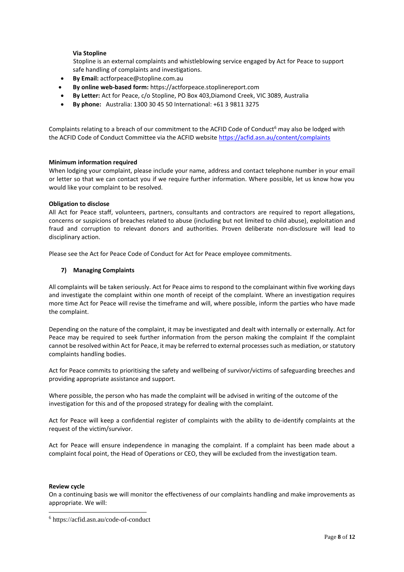## **Via Stopline**

Stopline is an external complaints and whistleblowing service engaged by Act for Peace to support safe handling of complaints and investigations.

- **By Email:** actforpeace@stopline.com.au
- **By online web-based form:** https://actforpeace.stoplinereport.com
- **By Letter:** Act for Peace, c/o Stopline, PO Box 403,Diamond Creek, VIC 3089, Australia
- **By phone:** Australia: 1300 30 45 50 International: +61 3 9811 3275

Complaints relating to a breach of our commitment to the ACFID Code of Conduct<sup>6</sup> may also be lodged with the ACFID Code of Conduct Committee via the ACFID websit[e https://acfid.asn.au/content/complaints](https://acfid.asn.au/content/complaints)

#### **Minimum information required**

When lodging your complaint, please include your name, address and contact telephone number in your email or letter so that we can contact you if we require further information. Where possible, let us know how you would like your complaint to be resolved.

#### **Obligation to disclose**

All Act for Peace staff, volunteers, partners, consultants and contractors are required to report allegations, concerns or suspicions of breaches related to abuse (including but not limited to child abuse), exploitation and fraud and corruption to relevant donors and authorities. Proven deliberate non-disclosure will lead to disciplinary action.

Please see the Act for Peace Code of Conduct for Act for Peace employee commitments.

#### **7) Managing Complaints**

All complaints will be taken seriously. Act for Peace aims to respond to the complainant within five working days and investigate the complaint within one month of receipt of the complaint. Where an investigation requires more time Act for Peace will revise the timeframe and will, where possible, inform the parties who have made the complaint.

Depending on the nature of the complaint, it may be investigated and dealt with internally or externally. Act for Peace may be required to seek further information from the person making the complaint If the complaint cannot be resolved within Act for Peace, it may be referred to external processes such as mediation, or statutory complaints handling bodies.

Act for Peace commits to prioritising the safety and wellbeing of survivor/victims of safeguarding breeches and providing appropriate assistance and support.

Where possible, the person who has made the complaint will be advised in writing of the outcome of the investigation for this and of the proposed strategy for dealing with the complaint.

Act for Peace will keep a confidential register of complaints with the ability to de-identify complaints at the request of the victim/survivor.

Act for Peace will ensure independence in managing the complaint. If a complaint has been made about a complaint focal point, the Head of Operations or CEO, they will be excluded from the investigation team.

#### **Review cycle**

On a continuing basis we will monitor the effectiveness of our complaints handling and make improvements as appropriate. We will:

<sup>6</sup> https://acfid.asn.au/code-of-conduct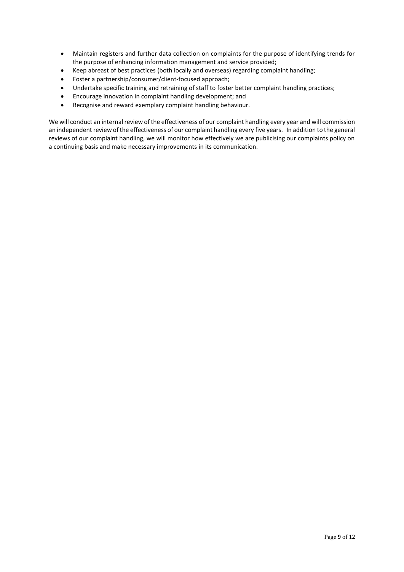- Maintain registers and further data collection on complaints for the purpose of identifying trends for the purpose of enhancing information management and service provided;
- Keep abreast of best practices (both locally and overseas) regarding complaint handling;
- Foster a partnership/consumer/client-focused approach;
- Undertake specific training and retraining of staff to foster better complaint handling practices;
- Encourage innovation in complaint handling development; and
- Recognise and reward exemplary complaint handling behaviour.

We will conduct an internal review of the effectiveness of our complaint handling every year and will commission an independent review of the effectiveness of our complaint handling every five years. In addition to the general reviews of our complaint handling, we will monitor how effectively we are publicising our complaints policy on a continuing basis and make necessary improvements in its communication.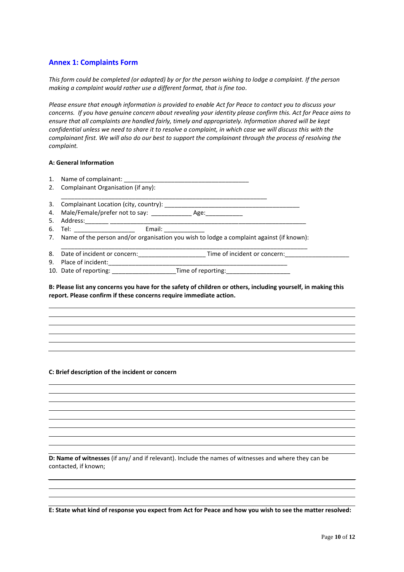## **Annex 1: Complaints Form**

*This form could be completed (or adapted) by or for the person wishing to lodge a complaint. If the person making a complaint would rather use a different format, that is fine too.*

*Please ensure that enough information is provided to enable Act for Peace to contact you to discuss your concerns. If you have genuine concern about revealing your identity please confirm this. Act for Peace aims to ensure that all complaints are handled fairly, timely and appropriately. Information shared will be kept confidential unless we need to share it to resolve a complaint, in which case we will discuss this with the complainant first. We will also do our best to support the complainant through the process of resolving the complaint.* 

## **A: General Information**

| 1. |                                                                                             |                              |
|----|---------------------------------------------------------------------------------------------|------------------------------|
|    | 2. Complainant Organisation (if any):                                                       |                              |
| 3. | Complainant Location (city, country): _________                                             |                              |
|    | 4. Male/Female/prefer not to say: ___________________ Age: ________________                 |                              |
| 5. | Address:                                                                                    |                              |
|    | 6. Tel: _____________________<br>Email: ________                                            |                              |
|    | 7. Name of the person and/or organisation you wish to lodge a complaint against (if known): |                              |
| 8. |                                                                                             | Time of incident or concern: |
| 9. | Place of incident:                                                                          |                              |

10. Date of reporting: \_\_\_\_\_\_\_\_\_\_\_\_\_\_\_\_\_\_\_Time of reporting:\_\_\_\_\_\_\_\_\_\_\_\_\_\_\_\_\_\_\_

**B: Please list any concerns you have for the safety of children or others, including yourself, in making this report. Please confirm if these concerns require immediate action.** 

#### **C: Brief description of the incident or concern**

**D: Name of witnesses** (if any/ and if relevant). Include the names of witnesses and where they can be contacted, if known;

**E: State what kind of response you expect from Act for Peace and how you wish to see the matter resolved:**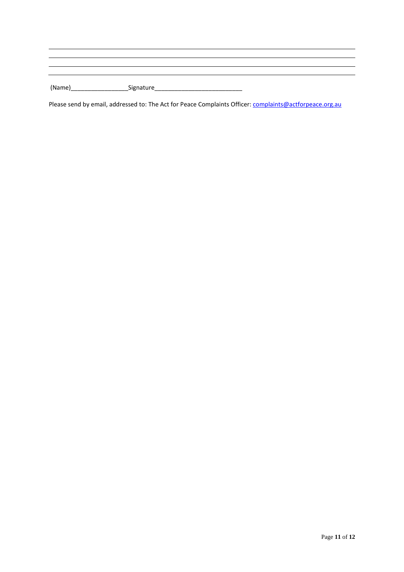(Name)\_\_\_\_\_\_\_\_\_\_\_\_\_\_\_\_\_Signature\_\_\_\_\_\_\_\_\_\_\_\_\_\_\_\_\_\_\_\_\_\_\_\_\_\_

Please send by email, addressed to: The Act for Peace Complaints Officer: [complaints@actforpeace.org.au](mailto:complaints@actforpeace.org.au)